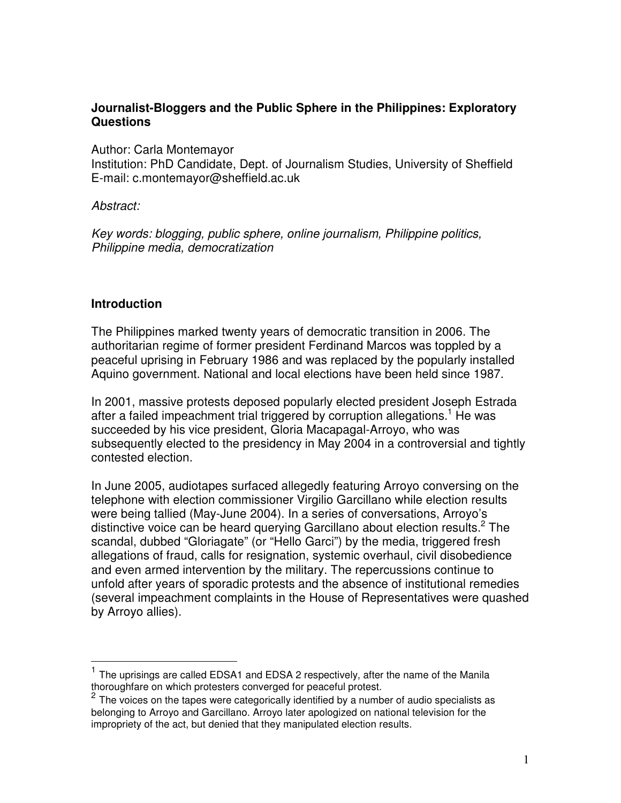### **Journalist-Bloggers and the Public Sphere in the Philippines: Exploratory Questions**

Author: Carla Montemayor

Institution: PhD Candidate, Dept. of Journalism Studies, University of Sheffield E-mail: c.montemayor@sheffield.ac.uk

### *Abstract:*

*Key words: blogging, public sphere, online journalism, Philippine politics, Philippine media, democratization*

# **Introduction**

The Philippines marked twenty years of democratic transition in 2006. The authoritarian regime of former president Ferdinand Marcos was toppled by a peaceful uprising in February 1986 and was replaced by the popularly installed Aquino government. National and local elections have been held since 1987.

In 2001, massive protests deposed popularly elected president Joseph Estrada after a failed impeachment trial triggered by corruption allegations.<sup>1</sup> He was succeeded by his vice president, Gloria Macapagal-Arroyo, who was subsequently elected to the presidency in May 2004 in a controversial and tightly contested election.

In June 2005, audiotapes surfaced allegedly featuring Arroyo conversing on the telephone with election commissioner Virgilio Garcillano while election results were being tallied (May-June 2004). In a series of conversations, Arroyo's distinctive voice can be heard querying Garcillano about election results.<sup>2</sup> The scandal, dubbed "Gloriagate" (or "Hello Garci") by the media, triggered fresh allegations of fraud, calls for resignation, systemic overhaul, civil disobedience and even armed intervention by the military. The repercussions continue to unfold after years of sporadic protests and the absence of institutional remedies (several impeachment complaints in the House of Representatives were quashed by Arroyo allies).

<sup>&</sup>lt;sup>1</sup> The uprisings are called EDSA1 and EDSA 2 respectively, after the name of the Manila thoroughfare on which protesters converged for peaceful protest.

 $2$  The voices on the tapes were categorically identified by a number of audio specialists as belonging to Arroyo and Garcillano. Arroyo later apologized on national television for the impropriety of the act, but denied that they manipulated election results.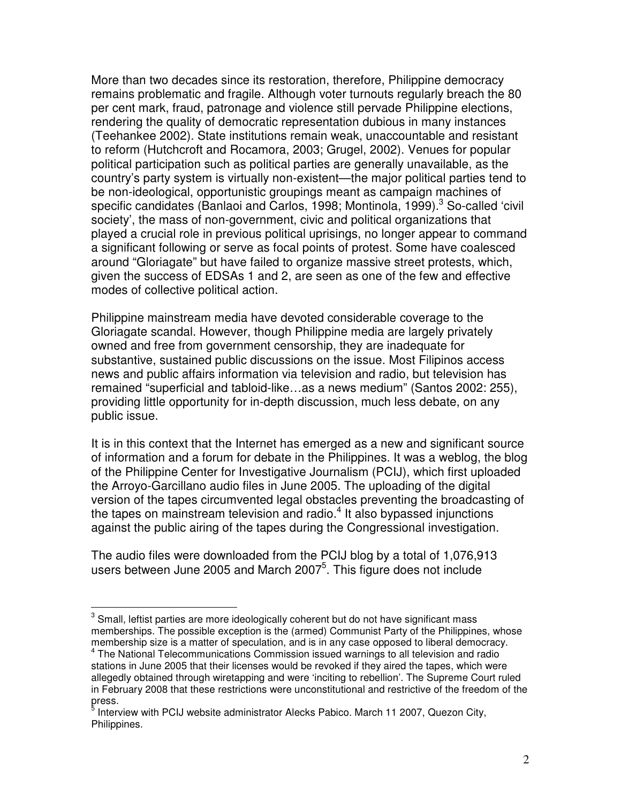More than two decades since its restoration, therefore, Philippine democracy remains problematic and fragile. Although voter turnouts regularly breach the 80 per cent mark, fraud, patronage and violence still pervade Philippine elections, rendering the quality of democratic representation dubious in many instances (Teehankee 2002). State institutions remain weak, unaccountable and resistant to reform (Hutchcroft and Rocamora, 2003; Grugel, 2002). Venues for popular political participation such as political parties are generally unavailable, as the country's party system is virtually non-existent—the major political parties tend to be non-ideological, opportunistic groupings meant as campaign machines of specific candidates (Banlaoi and Carlos, 1998; Montinola, 1999).<sup>3</sup> So-called 'civil society', the mass of non-government, civic and political organizations that played a crucial role in previous political uprisings, no longer appear to command a significant following or serve as focal points of protest. Some have coalesced around "Gloriagate" but have failed to organize massive street protests, which, given the success of EDSAs 1 and 2, are seen as one of the few and effective modes of collective political action.

Philippine mainstream media have devoted considerable coverage to the Gloriagate scandal. However, though Philippine media are largely privately owned and free from government censorship, they are inadequate for substantive, sustained public discussions on the issue. Most Filipinos access news and public affairs information via television and radio, but television has remained "superficial and tabloid-like…as a news medium" (Santos 2002: 255), providing little opportunity for in-depth discussion, much less debate, on any public issue.

It is in this context that the Internet has emerged as a new and significant source of information and a forum for debate in the Philippines. It was a weblog, the blog of the Philippine Center for Investigative Journalism (PCIJ), which first uploaded the Arroyo-Garcillano audio files in June 2005. The uploading of the digital version of the tapes circumvented legal obstacles preventing the broadcasting of the tapes on mainstream television and radio.<sup>4</sup> It also bypassed injunctions against the public airing of the tapes during the Congressional investigation.

The audio files were downloaded from the PCIJ blog by a total of 1,076,913 users between June 2005 and March 2007<sup>5</sup>. This figure does not include

 $3$  Small, leftist parties are more ideologically coherent but do not have significant mass memberships. The possible exception is the (armed) Communist Party of the Philippines, whose membership size is a matter of speculation, and is in any case opposed to liberal democracy.

<sup>&</sup>lt;sup>4</sup> The National Telecommunications Commission issued warnings to all television and radio stations in June 2005 that their licenses would be revoked if they aired the tapes, which were allegedly obtained through wiretapping and were 'inciting to rebellion'. The Supreme Court ruled in February 2008 that these restrictions were unconstitutional and restrictive of the freedom of the press.<br><sup>5</sup> Inton

Interview with PCIJ website administrator Alecks Pabico. March 11 2007, Quezon City, Philippines.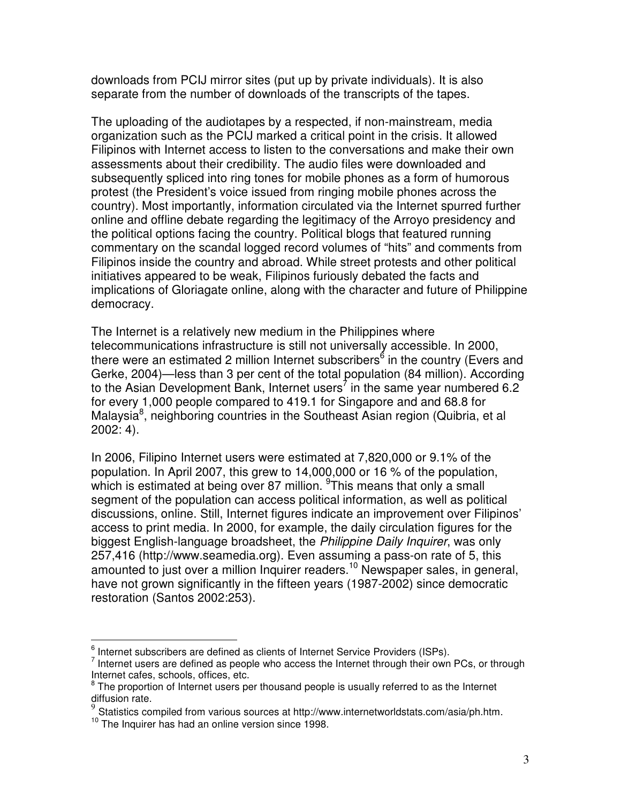downloads from PCIJ mirror sites (put up by private individuals). It is also separate from the number of downloads of the transcripts of the tapes.

The uploading of the audiotapes by a respected, if non-mainstream, media organization such as the PCIJ marked a critical point in the crisis. It allowed Filipinos with Internet access to listen to the conversations and make their own assessments about their credibility. The audio files were downloaded and subsequently spliced into ring tones for mobile phones as a form of humorous protest (the President's voice issued from ringing mobile phones across the country). Most importantly, information circulated via the Internet spurred further online and offline debate regarding the legitimacy of the Arroyo presidency and the political options facing the country. Political blogs that featured running commentary on the scandal logged record volumes of "hits" and comments from Filipinos inside the country and abroad. While street protests and other political initiatives appeared to be weak, Filipinos furiously debated the facts and implications of Gloriagate online, along with the character and future of Philippine democracy.

The Internet is a relatively new medium in the Philippines where telecommunications infrastructure is still not universally accessible. In 2000, there were an estimated 2 million Internet subscribers<sup>6</sup> in the country (Evers and Gerke, 2004)—less than 3 per cent of the total population (84 million). According to the Asian Development Bank, Internet users<sup>7</sup> in the same year numbered 6.2 for every 1,000 people compared to 419.1 for Singapore and and 68.8 for Malaysia<sup>8</sup>, neighboring countries in the Southeast Asian region (Quibria, et al 2002: 4).

In 2006, Filipino Internet users were estimated at 7,820,000 or 9.1% of the population. In April 2007, this grew to 14,000,000 or 16 % of the population, which is estimated at being over 87 million. <sup>9</sup>This means that only a small segment of the population can access political information, as well as political discussions, online. Still, Internet figures indicate an improvement over Filipinos' access to print media. In 2000, for example, the daily circulation figures for the biggest English-language broadsheet, the *Philippine Daily Inquirer*, was only 257,416 (http://www.seamedia.org). Even assuming a pass-on rate of 5, this amounted to just over a million Inquirer readers. <sup>10</sup> Newspaper sales, in general, have not grown significantly in the fifteen years (1987-2002) since democratic restoration (Santos 2002:253).

 $^6$  Internet subscribers are defined as clients of Internet Service Providers (ISPs).

 $<sup>7</sup>$  Internet users are defined as people who access the Internet through their own PCs, or through</sup> Internet cafes, schools, offices, etc.

<sup>&</sup>lt;sup>8</sup> The proportion of Internet users per thousand people is usually referred to as the Internet diffusion rate.

<sup>9</sup> Statistics compiled from various sources at http://www.internetworldstats.com/asia/ph.htm.

<sup>&</sup>lt;sup>10</sup> The Inquirer has had an online version since 1998.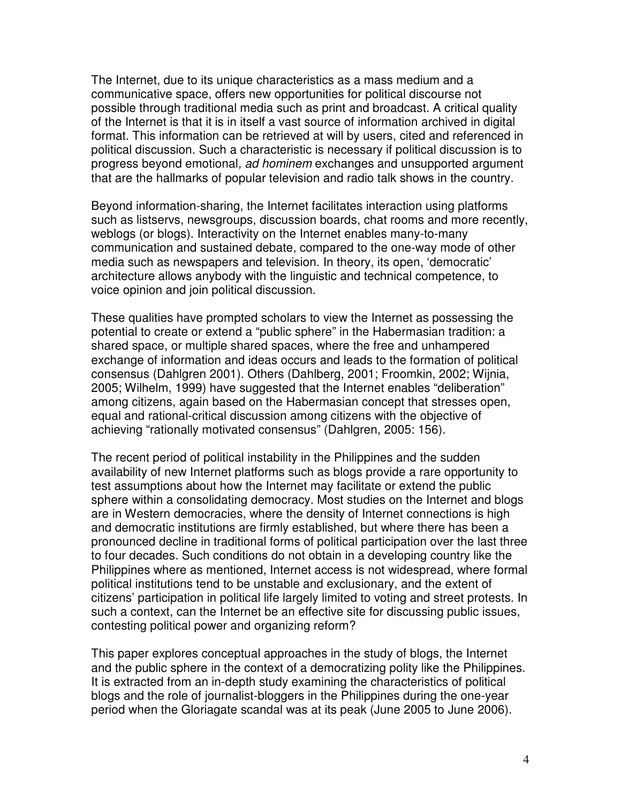The Internet, due to its unique characteristics as a mass medium and a communicative space, offers new opportunities for political discourse not possible through traditional media such as print and broadcast. A critical quality of the Internet is that it is in itself a vast source of information archived in digital format. This information can be retrieved at will by users, cited and referenced in political discussion. Such a characteristic is necessary if political discussion is to progress beyond emotional*, ad hominem* exchanges and unsupported argument that are the hallmarks of popular television and radio talk shows in the country.

Beyond information-sharing, the Internet facilitates interaction using platforms such as listservs, newsgroups, discussion boards, chat rooms and more recently, weblogs (or blogs). Interactivity on the Internet enables many-to-many communication and sustained debate, compared to the one-way mode of other media such as newspapers and television. In theory, its open, 'democratic' architecture allows anybody with the linguistic and technical competence, to voice opinion and join political discussion.

These qualities have prompted scholars to view the Internet as possessing the potential to create or extend a "public sphere" in the Habermasian tradition: a shared space, or multiple shared spaces, where the free and unhampered exchange of information and ideas occurs and leads to the formation of political consensus (Dahlgren 2001). Others (Dahlberg, 2001; Froomkin, 2002; Wijnia, 2005; Wilhelm, 1999) have suggested that the Internet enables "deliberation" among citizens, again based on the Habermasian concept that stresses open, equal and rational-critical discussion among citizens with the objective of achieving "rationally motivated consensus" (Dahlgren, 2005: 156).

The recent period of political instability in the Philippines and the sudden availability of new Internet platforms such as blogs provide a rare opportunity to test assumptions about how the Internet may facilitate or extend the public sphere within a consolidating democracy. Most studies on the Internet and blogs are in Western democracies, where the density of Internet connections is high and democratic institutions are firmly established, but where there has been a pronounced decline in traditional forms of political participation over the last three to four decades. Such conditions do not obtain in a developing country like the Philippines where as mentioned, Internet access is not widespread, where formal political institutions tend to be unstable and exclusionary, and the extent of citizens' participation in political life largely limited to voting and street protests. In such a context, can the Internet be an effective site for discussing public issues, contesting political power and organizing reform?

This paper explores conceptual approaches in the study of blogs, the Internet and the public sphere in the context of a democratizing polity like the Philippines. It is extracted from an in-depth study examining the characteristics of political blogs and the role of journalist-bloggers in the Philippines during the one-year period when the Gloriagate scandal was at its peak (June 2005 to June 2006).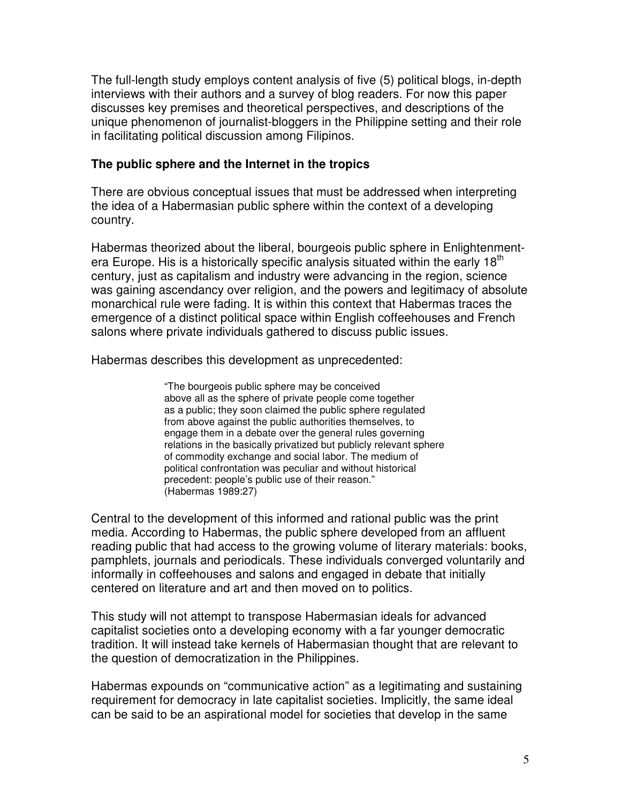The full-length study employs content analysis of five (5) political blogs, in-depth interviews with their authors and a survey of blog readers. For now this paper discusses key premises and theoretical perspectives, and descriptions of the unique phenomenon of journalist-bloggers in the Philippine setting and their role in facilitating political discussion among Filipinos.

### **The public sphere and the Internet in the tropics**

There are obvious conceptual issues that must be addressed when interpreting the idea of a Habermasian public sphere within the context of a developing country.

Habermas theorized about the liberal, bourgeois public sphere in Enlightenmentera Europe. His is a historically specific analysis situated within the early  $18<sup>th</sup>$ century, just as capitalism and industry were advancing in the region, science was gaining ascendancy over religion, and the powers and legitimacy of absolute monarchical rule were fading. It is within this context that Habermas traces the emergence of a distinct political space within English coffeehouses and French salons where private individuals gathered to discuss public issues.

Habermas describes this development as unprecedented:

"The bourgeois public sphere may be conceived above all as the sphere of private people come together as a public; they soon claimed the public sphere regulated from above against the public authorities themselves, to engage them in a debate over the general rules governing relations in the basically privatized but publicly relevant sphere of commodity exchange and social labor. The medium of political confrontation was peculiar and without historical precedent: people's public use of their reason." (Habermas 1989:27)

Central to the development of this informed and rational public was the print media. According to Habermas, the public sphere developed from an affluent reading public that had access to the growing volume of literary materials: books, pamphlets, journals and periodicals. These individuals converged voluntarily and informally in coffeehouses and salons and engaged in debate that initially centered on literature and art and then moved on to politics.

This study will not attempt to transpose Habermasian ideals for advanced capitalist societies onto a developing economy with a far younger democratic tradition. It will instead take kernels of Habermasian thought that are relevant to the question of democratization in the Philippines.

Habermas expounds on "communicative action" as a legitimating and sustaining requirement for democracy in late capitalist societies. Implicitly, the same ideal can be said to be an aspirational model for societies that develop in the same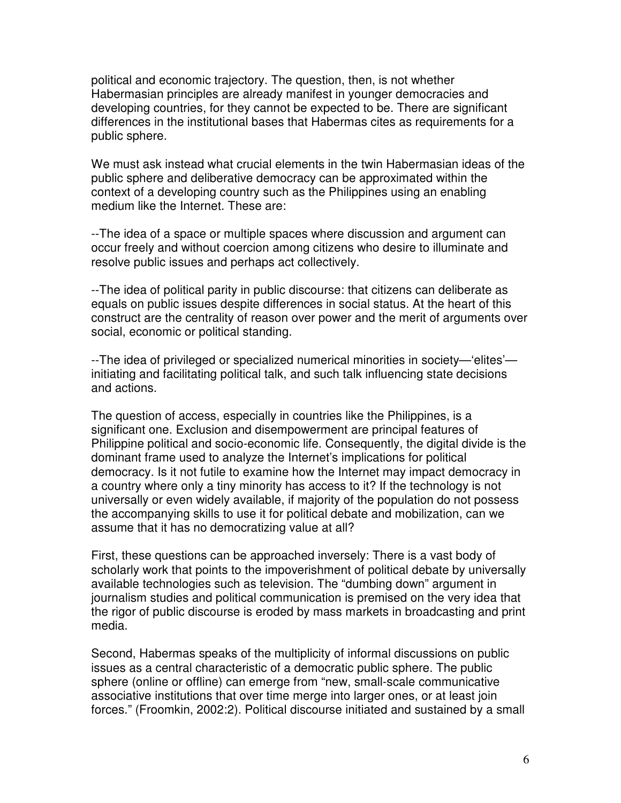political and economic trajectory. The question, then, is not whether Habermasian principles are already manifest in younger democracies and developing countries, for they cannot be expected to be. There are significant differences in the institutional bases that Habermas cites as requirements for a public sphere.

We must ask instead what crucial elements in the twin Habermasian ideas of the public sphere and deliberative democracy can be approximated within the context of a developing country such as the Philippines using an enabling medium like the Internet. These are:

--The idea of a space or multiple spaces where discussion and argument can occur freely and without coercion among citizens who desire to illuminate and resolve public issues and perhaps act collectively.

--The idea of political parity in public discourse: that citizens can deliberate as equals on public issues despite differences in social status. At the heart of this construct are the centrality of reason over power and the merit of arguments over social, economic or political standing.

--The idea of privileged or specialized numerical minorities in society—'elites' initiating and facilitating political talk, and such talk influencing state decisions and actions.

The question of access, especially in countries like the Philippines, is a significant one. Exclusion and disempowerment are principal features of Philippine political and socio-economic life. Consequently, the digital divide is the dominant frame used to analyze the Internet's implications for political democracy. Is it not futile to examine how the Internet may impact democracy in a country where only a tiny minority has access to it? If the technology is not universally or even widely available, if majority of the population do not possess the accompanying skills to use it for political debate and mobilization, can we assume that it has no democratizing value at all?

First, these questions can be approached inversely: There is a vast body of scholarly work that points to the impoverishment of political debate by universally available technologies such as television. The "dumbing down" argument in journalism studies and political communication is premised on the very idea that the rigor of public discourse is eroded by mass markets in broadcasting and print media.

Second, Habermas speaks of the multiplicity of informal discussions on public issues as a central characteristic of a democratic public sphere. The public sphere (online or offline) can emerge from "new, small-scale communicative associative institutions that over time merge into larger ones, or at least join forces." (Froomkin, 2002:2). Political discourse initiated and sustained by a small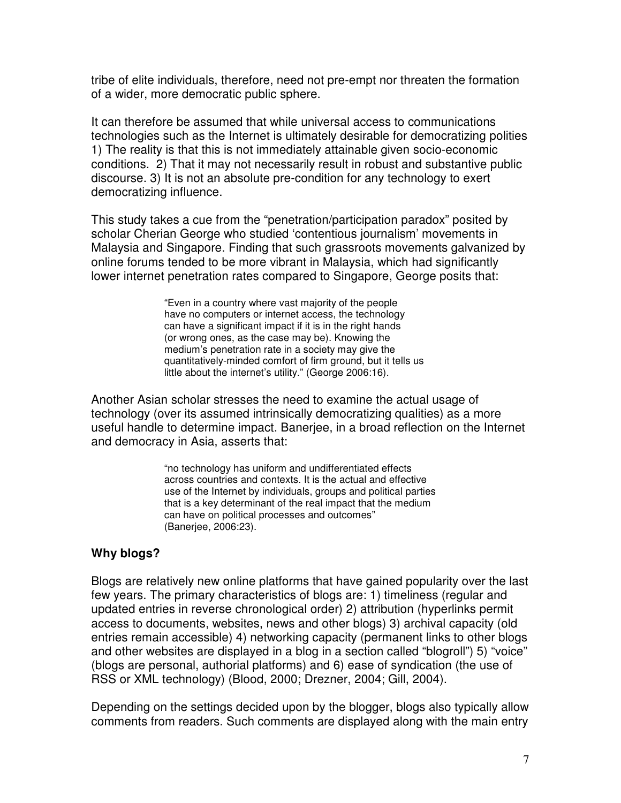tribe of elite individuals, therefore, need not pre-empt nor threaten the formation of a wider, more democratic public sphere.

It can therefore be assumed that while universal access to communications technologies such as the Internet is ultimately desirable for democratizing polities 1) The reality is that this is not immediately attainable given socio-economic conditions. 2) That it may not necessarily result in robust and substantive public discourse. 3) It is not an absolute pre-condition for any technology to exert democratizing influence.

This study takes a cue from the "penetration/participation paradox" posited by scholar Cherian George who studied 'contentious journalism' movements in Malaysia and Singapore. Finding that such grassroots movements galvanized by online forums tended to be more vibrant in Malaysia, which had significantly lower internet penetration rates compared to Singapore, George posits that:

> "Even in a country where vast majority of the people have no computers or internet access, the technology can have a significant impact if it is in the right hands (or wrong ones, as the case may be). Knowing the medium's penetration rate in a society may give the quantitatively-minded comfort of firm ground, but it tells us little about the internet's utility." (George 2006:16).

Another Asian scholar stresses the need to examine the actual usage of technology (over its assumed intrinsically democratizing qualities) as a more useful handle to determine impact. Banerjee, in a broad reflection on the Internet and democracy in Asia, asserts that:

> "no technology has uniform and undifferentiated effects across countries and contexts. It is the actual and effective use of the Internet by individuals, groups and political parties that is a key determinant of the real impact that the medium can have on political processes and outcomes" (Banerjee, 2006:23).

#### **Why blogs?**

Blogs are relatively new online platforms that have gained popularity over the last few years. The primary characteristics of blogs are: 1) timeliness (regular and updated entries in reverse chronological order) 2) attribution (hyperlinks permit access to documents, websites, news and other blogs) 3) archival capacity (old entries remain accessible) 4) networking capacity (permanent links to other blogs and other websites are displayed in a blog in a section called "blogroll") 5) "voice" (blogs are personal, authorial platforms) and 6) ease of syndication (the use of RSS or XML technology) (Blood, 2000; Drezner, 2004; Gill, 2004).

Depending on the settings decided upon by the blogger, blogs also typically allow comments from readers. Such comments are displayed along with the main entry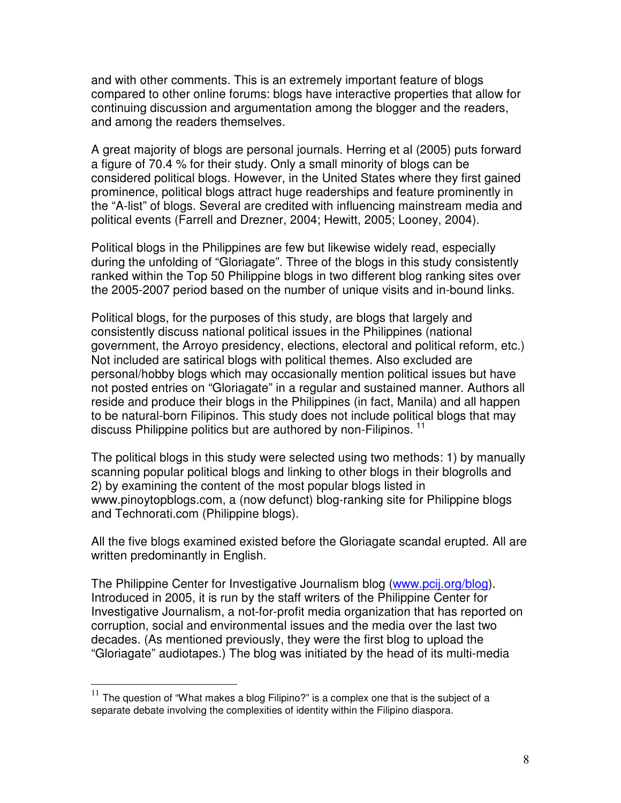and with other comments. This is an extremely important feature of blogs compared to other online forums: blogs have interactive properties that allow for continuing discussion and argumentation among the blogger and the readers, and among the readers themselves.

A great majority of blogs are personal journals. Herring et al (2005) puts forward a figure of 70.4 % for their study. Only a small minority of blogs can be considered political blogs. However, in the United States where they first gained prominence, political blogs attract huge readerships and feature prominently in the "A-list" of blogs. Several are credited with influencing mainstream media and political events (Farrell and Drezner, 2004; Hewitt, 2005; Looney, 2004).

Political blogs in the Philippines are few but likewise widely read, especially during the unfolding of "Gloriagate". Three of the blogs in this study consistently ranked within the Top 50 Philippine blogs in two different blog ranking sites over the 2005-2007 period based on the number of unique visits and in-bound links.

Political blogs, for the purposes of this study, are blogs that largely and consistently discuss national political issues in the Philippines (national government, the Arroyo presidency, elections, electoral and political reform, etc.) Not included are satirical blogs with political themes. Also excluded are personal/hobby blogs which may occasionally mention political issues but have not posted entries on "Gloriagate" in a regular and sustained manner. Authors all reside and produce their blogs in the Philippines (in fact, Manila) and all happen to be natural-born Filipinos. This study does not include political blogs that may discuss Philippine politics but are authored by non-Filipinos.<sup>11</sup>

The political blogs in this study were selected using two methods: 1) by manually scanning popular political blogs and linking to other blogs in their blogrolls and 2) by examining the content of the most popular blogs listed in www.pinoytopblogs.com, a (now defunct) blog-ranking site for Philippine blogs and Technorati.com (Philippine blogs).

All the five blogs examined existed before the Gloriagate scandal erupted. All are written predominantly in English.

The Philippine Center for Investigative Journalism blog (www.pcij.org/blog). Introduced in 2005, it is run by the staff writers of the Philippine Center for Investigative Journalism, a not-for-profit media organization that has reported on corruption, social and environmental issues and the media over the last two decades. (As mentioned previously, they were the first blog to upload the "Gloriagate" audiotapes.) The blog was initiated by the head of its multi-media

 $11$  The question of "What makes a blog Filipino?" is a complex one that is the subject of a separate debate involving the complexities of identity within the Filipino diaspora.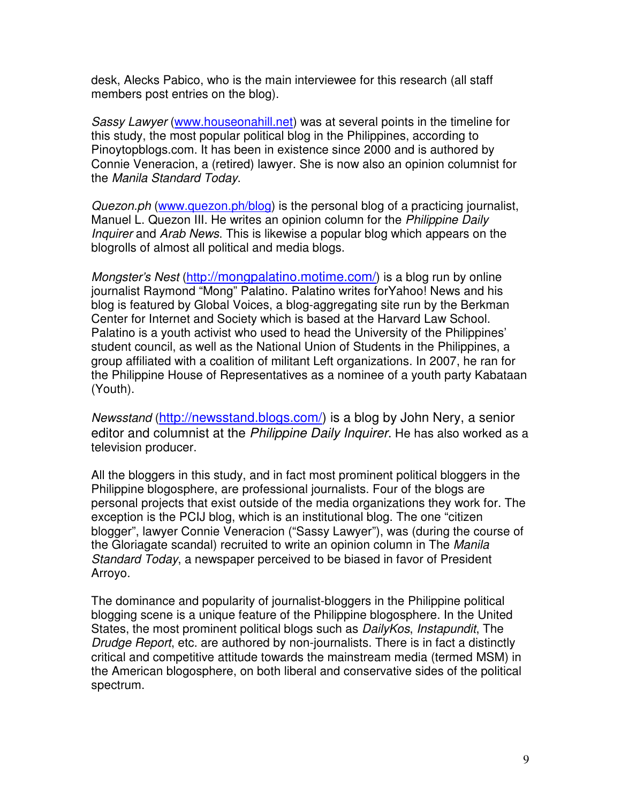desk, Alecks Pabico, who is the main interviewee for this research (all staff members post entries on the blog).

*Sassy Lawyer* (www.houseonahill.net) was at several points in the timeline for this study, the most popular political blog in the Philippines, according to Pinoytopblogs.com. It has been in existence since 2000 and is authored by Connie Veneracion, a (retired) lawyer. She is now also an opinion columnist for the *Manila Standard Today*.

*Quezon.ph* (www.quezon.ph/blog) is the personal blog of a practicing journalist, Manuel L. Quezon III. He writes an opinion column for the *Philippine Daily Inquirer* and *Arab News*. This is likewise a popular blog which appears on the blogrolls of almost all political and media blogs.

*Mongster's Nest* (http://mongpalatino.motime.com/) is a blog run by online journalist Raymond "Mong" Palatino. Palatino writes forYahoo! News and his blog is featured by Global Voices, a blog-aggregating site run by the Berkman Center for Internet and Society which is based at the Harvard Law School. Palatino is a youth activist who used to head the University of the Philippines' student council, as well as the National Union of Students in the Philippines, a group affiliated with a coalition of militant Left organizations. In 2007, he ran for the Philippine House of Representatives as a nominee of a youth party Kabataan (Youth).

*Newsstand* (http://newsstand.blogs.com/) is a blog by John Nery, a senior editor and columnist at the *Philippine Daily Inquirer*. He has also worked as a television producer.

All the bloggers in this study, and in fact most prominent political bloggers in the Philippine blogosphere, are professional journalists. Four of the blogs are personal projects that exist outside of the media organizations they work for. The exception is the PCIJ blog, which is an institutional blog. The one "citizen blogger", lawyer Connie Veneracion ("Sassy Lawyer"), was (during the course of the Gloriagate scandal) recruited to write an opinion column in The *Manila Standard Today*, a newspaper perceived to be biased in favor of President Arroyo.

The dominance and popularity of journalist-bloggers in the Philippine political blogging scene is a unique feature of the Philippine blogosphere. In the United States, the most prominent political blogs such as *DailyKos*, *Instapundit*, The *Drudge Report*, etc. are authored by non-journalists. There is in fact a distinctly critical and competitive attitude towards the mainstream media (termed MSM) in the American blogosphere, on both liberal and conservative sides of the political spectrum.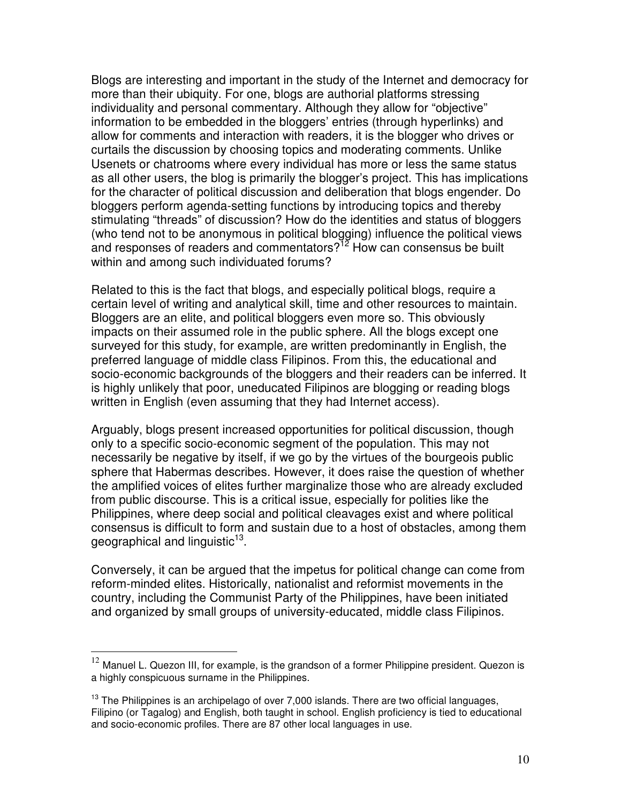Blogs are interesting and important in the study of the Internet and democracy for more than their ubiquity. For one, blogs are authorial platforms stressing individuality and personal commentary. Although they allow for "objective" information to be embedded in the bloggers' entries (through hyperlinks) and allow for comments and interaction with readers, it is the blogger who drives or curtails the discussion by choosing topics and moderating comments. Unlike Usenets or chatrooms where every individual has more or less the same status as all other users, the blog is primarily the blogger's project. This has implications for the character of political discussion and deliberation that blogs engender. Do bloggers perform agenda-setting functions by introducing topics and thereby stimulating "threads" of discussion? How do the identities and status of bloggers (who tend not to be anonymous in political blogging) influence the political views and responses of readers and commentators?<sup>12</sup> How can consensus be built within and among such individuated forums?

Related to this is the fact that blogs, and especially political blogs, require a certain level of writing and analytical skill, time and other resources to maintain. Bloggers are an elite, and political bloggers even more so. This obviously impacts on their assumed role in the public sphere. All the blogs except one surveyed for this study, for example, are written predominantly in English, the preferred language of middle class Filipinos. From this, the educational and socio-economic backgrounds of the bloggers and their readers can be inferred. It is highly unlikely that poor, uneducated Filipinos are blogging or reading blogs written in English (even assuming that they had Internet access).

Arguably, blogs present increased opportunities for political discussion, though only to a specific socio-economic segment of the population. This may not necessarily be negative by itself, if we go by the virtues of the bourgeois public sphere that Habermas describes. However, it does raise the question of whether the amplified voices of elites further marginalize those who are already excluded from public discourse. This is a critical issue, especially for polities like the Philippines, where deep social and political cleavages exist and where political consensus is difficult to form and sustain due to a host of obstacles, among them geographical and linguistic<sup>13</sup>.

Conversely, it can be argued that the impetus for political change can come from reform-minded elites. Historically, nationalist and reformist movements in the country, including the Communist Party of the Philippines, have been initiated and organized by small groups of university-educated, middle class Filipinos.

 $12$  Manuel L. Quezon III, for example, is the grandson of a former Philippine president. Quezon is a highly conspicuous surname in the Philippines.

<sup>&</sup>lt;sup>13</sup> The Philippines is an archipelago of over 7,000 islands. There are two official languages, Filipino (or Tagalog) and English, both taught in school. English proficiency is tied to educational and socio-economic profiles. There are 87 other local languages in use.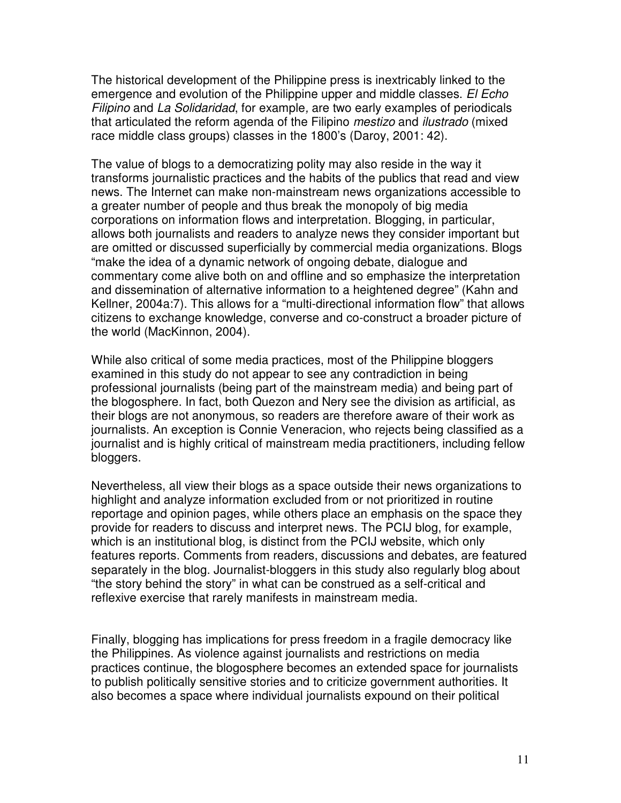The historical development of the Philippine press is inextricably linked to the emergence and evolution of the Philippine upper and middle classes. *El Echo Filipino* and *La Solidaridad*, for example*,* are two early examples of periodicals that articulated the reform agenda of the Filipino *mestizo* and *ilustrado* (mixed race middle class groups) classes in the 1800's (Daroy, 2001: 42).

The value of blogs to a democratizing polity may also reside in the way it transforms journalistic practices and the habits of the publics that read and view news. The Internet can make non-mainstream news organizations accessible to a greater number of people and thus break the monopoly of big media corporations on information flows and interpretation. Blogging, in particular, allows both journalists and readers to analyze news they consider important but are omitted or discussed superficially by commercial media organizations. Blogs "make the idea of a dynamic network of ongoing debate, dialogue and commentary come alive both on and offline and so emphasize the interpretation and dissemination of alternative information to a heightened degree" (Kahn and Kellner, 2004a:7). This allows for a "multi-directional information flow" that allows citizens to exchange knowledge, converse and co-construct a broader picture of the world (MacKinnon, 2004).

While also critical of some media practices, most of the Philippine bloggers examined in this study do not appear to see any contradiction in being professional journalists (being part of the mainstream media) and being part of the blogosphere. In fact, both Quezon and Nery see the division as artificial, as their blogs are not anonymous, so readers are therefore aware of their work as journalists. An exception is Connie Veneracion, who rejects being classified as a journalist and is highly critical of mainstream media practitioners, including fellow bloggers.

Nevertheless, all view their blogs as a space outside their news organizations to highlight and analyze information excluded from or not prioritized in routine reportage and opinion pages, while others place an emphasis on the space they provide for readers to discuss and interpret news. The PCIJ blog, for example, which is an institutional blog, is distinct from the PCIJ website, which only features reports. Comments from readers, discussions and debates, are featured separately in the blog. Journalist-bloggers in this study also regularly blog about "the story behind the story" in what can be construed as a self-critical and reflexive exercise that rarely manifests in mainstream media.

Finally, blogging has implications for press freedom in a fragile democracy like the Philippines. As violence against journalists and restrictions on media practices continue, the blogosphere becomes an extended space for journalists to publish politically sensitive stories and to criticize government authorities. It also becomes a space where individual journalists expound on their political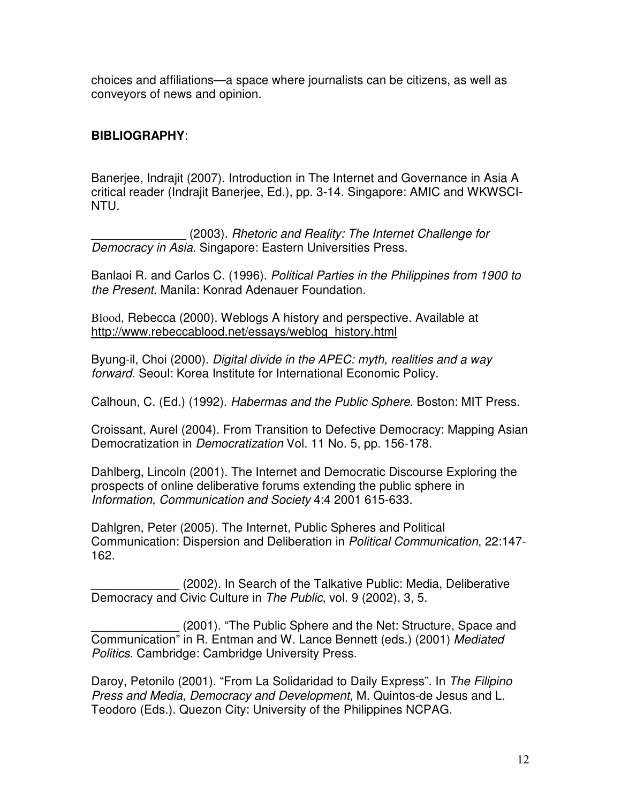choices and affiliations—a space where journalists can be citizens, as well as conveyors of news and opinion.

# **BIBLIOGRAPHY**:

Banerjee, Indrajit (2007). Introduction in The Internet and Governance in Asia A critical reader (Indrajit Banerjee, Ed.), pp. 3-14. Singapore: AMIC and WKWSCI-NTU.

\_\_\_\_\_\_\_\_\_\_\_\_\_\_ (2003). *Rhetoric and Reality: The Internet Challenge for Democracy in Asia.* Singapore: Eastern Universities Press.

Banlaoi R. and Carlos C. (1996). *Political Parties in the Philippines from 1900 to the Present*. Manila: Konrad Adenauer Foundation.

Blood, Rebecca (2000). Weblogs A history and perspective. Available at http://www.rebeccablood.net/essays/weblog\_history.html

Byung-il, Choi (2000). *Digital divide in the APEC: myth, realities and a way forward*. Seoul: Korea Institute for International Economic Policy.

Calhoun, C. (Ed.) (1992). *Habermas and the Public Sphere*. Boston: MIT Press.

Croissant, Aurel (2004). From Transition to Defective Democracy: Mapping Asian Democratization in *Democratization* Vol. 11 No. 5, pp. 156-178.

Dahlberg, Lincoln (2001). The Internet and Democratic Discourse Exploring the prospects of online deliberative forums extending the public sphere in *Information, Communication and Society* 4:4 2001 615-633.

Dahlgren, Peter (2005). The Internet, Public Spheres and Political Communication: Dispersion and Deliberation in *Political Communication*, 22:147- 162.

(2002). In Search of the Talkative Public: Media, Deliberative Democracy and Civic Culture in *The Public*, vol. 9 (2002), 3, 5.

(2001). "The Public Sphere and the Net: Structure, Space and Communication" in R. Entman and W. Lance Bennett (eds.) (2001) *Mediated Politics*. Cambridge: Cambridge University Press.

Daroy, Petonilo (2001). "From La Solidaridad to Daily Express". In *The Filipino Press and Media, Democracy and Development,* M. Quintos-de Jesus and L. Teodoro (Eds.). Quezon City: University of the Philippines NCPAG.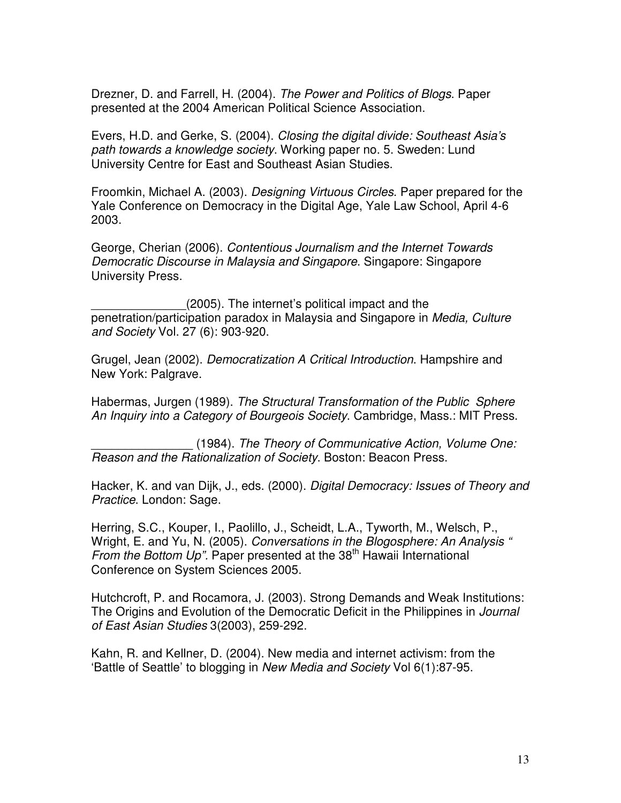Drezner, D. and Farrell, H. (2004). *The Power and Politics of Blogs*. Paper presented at the 2004 American Political Science Association.

Evers, H.D. and Gerke, S. (2004). *Closing the digital divide: Southeast Asia's path towards a knowledge society*. Working paper no. 5. Sweden: Lund University Centre for East and Southeast Asian Studies.

Froomkin, Michael A. (2003). *Designing Virtuous Circles*. Paper prepared for the Yale Conference on Democracy in the Digital Age, Yale Law School, April 4-6 2003.

George, Cherian (2006). *Contentious Journalism and the Internet Towards Democratic Discourse in Malaysia and Singapore*. Singapore: Singapore University Press.

(2005). The internet's political impact and the penetration/participation paradox in Malaysia and Singapore in *Media, Culture and Society* Vol. 27 (6): 903-920.

Grugel, Jean (2002). *Democratization A Critical Introduction*. Hampshire and New York: Palgrave.

Habermas, Jurgen (1989). *The Structural Transformation of the Public Sphere An Inquiry into a Category of Bourgeois Society*. Cambridge, Mass.: MIT Press.

\_\_\_\_\_\_\_\_\_\_\_\_\_\_\_ (1984). *The Theory of Communicative Action, Volume One: Reason and the Rationalization of Society*. Boston: Beacon Press.

Hacker, K. and van Dijk, J., eds. (2000). *Digital Democracy: Issues of Theory and Practice*. London: Sage.

Herring, S.C., Kouper, I., Paolillo, J., Scheidt, L.A., Tyworth, M., Welsch, P., Wright, E. and Yu, N. (2005). *Conversations in the Blogosphere: An Analysis "* From the Bottom Up". Paper presented at the 38<sup>th</sup> Hawaii International Conference on System Sciences 2005.

Hutchcroft, P. and Rocamora, J. (2003). Strong Demands and Weak Institutions: The Origins and Evolution of the Democratic Deficit in the Philippines in *Journal of East Asian Studies* 3(2003), 259-292.

Kahn, R. and Kellner, D. (2004). New media and internet activism: from the 'Battle of Seattle' to blogging in *New Media and Society* Vol 6(1):87-95.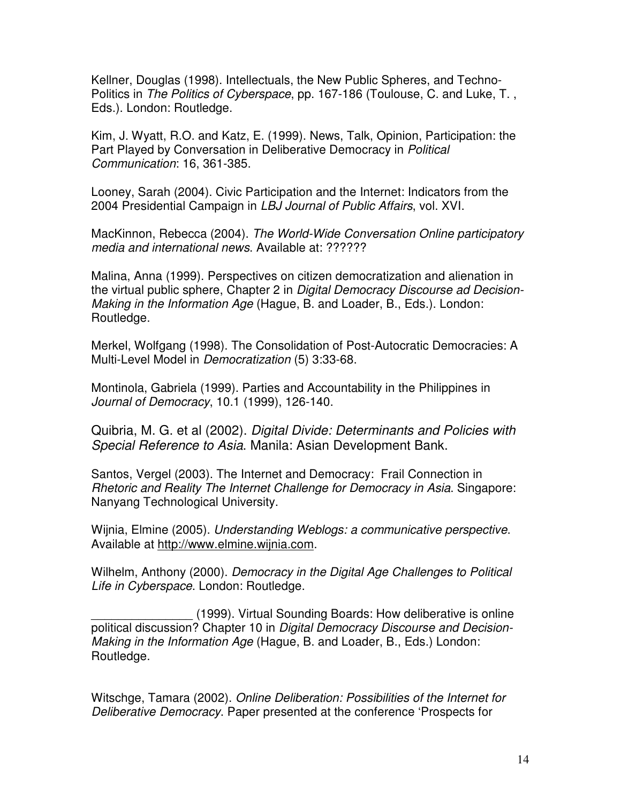Kellner, Douglas (1998). Intellectuals, the New Public Spheres, and Techno-Politics in *The Politics of Cyberspace*, pp. 167-186 (Toulouse, C. and Luke, T. , Eds.). London: Routledge.

Kim, J. Wyatt, R.O. and Katz, E. (1999). News, Talk, Opinion, Participation: the Part Played by Conversation in Deliberative Democracy in *Political Communication*: 16, 361-385.

Looney, Sarah (2004). Civic Participation and the Internet: Indicators from the 2004 Presidential Campaign in *LBJ Journal of Public Affairs*, vol. XVI.

MacKinnon, Rebecca (2004). *The World-Wide Conversation Online participatory media and international news*. Available at: ??????

Malina, Anna (1999). Perspectives on citizen democratization and alienation in the virtual public sphere, Chapter 2 in *Digital Democracy Discourse ad Decision-Making in the Information Age* (Hague, B. and Loader, B., Eds.). London: Routledge.

Merkel, Wolfgang (1998). The Consolidation of Post-Autocratic Democracies: A Multi-Level Model in *Democratization* (5) 3:33-68.

Montinola, Gabriela (1999). Parties and Accountability in the Philippines in *Journal of Democracy*, 10.1 (1999), 126-140.

Quibria, M. G. et al (2002). *Digital Divide: Determinants and Policies with Special Reference to Asia*. Manila: Asian Development Bank.

Santos, Vergel (2003). The Internet and Democracy: Frail Connection in *Rhetoric and Reality The Internet Challenge for Democracy in Asia*. Singapore: Nanyang Technological University.

Wijnia, Elmine (2005). *Understanding Weblogs: a communicative perspective*. Available at http://www.elmine.wijnia.com.

Wilhelm, Anthony (2000). *Democracy in the Digital Age Challenges to Political Life in Cyberspace*. London: Routledge.

\_\_\_\_\_\_\_\_\_\_\_\_\_\_\_ (1999). Virtual Sounding Boards: How deliberative is online political discussion? Chapter 10 in *Digital Democracy Discourse and Decision-Making in the Information Age* (Hague, B. and Loader, B., Eds.) London: Routledge.

Witschge, Tamara (2002). *Online Deliberation: Possibilities of the Internet for Deliberative Democracy*. Paper presented at the conference 'Prospects for